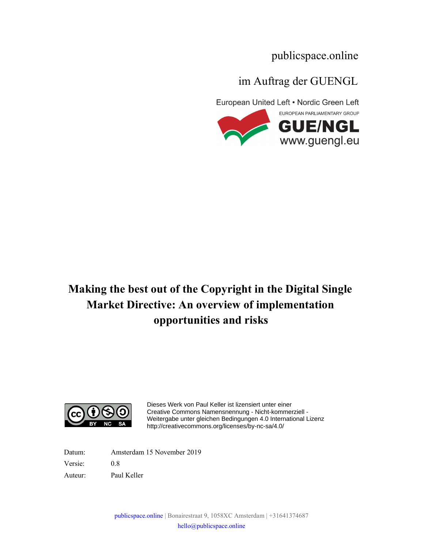publicspace.online

im Auftrag der GUENGL

European United Left . Nordic Green Left EUROPEAN PARLIAMENTARY GROUP **GUE/NGL**<br>www.guengl.eu

# Making the best out of the Copyright in the Digital Single Market Directive: An overview of implementation opportunities and risks



Dieses Werk von Paul Keller ist lizensiert unter einer Creative Commons Namensnennung - Nicht-kommerziell - Weitergabe unter gleichen Bedingungen 4.0 International Lizenz http://creativecommons.org/licenses/by-nc-sa/4.0/

Datum: Amsterdam 15 November 2019 Versie: 0.8 Auteur: Paul Keller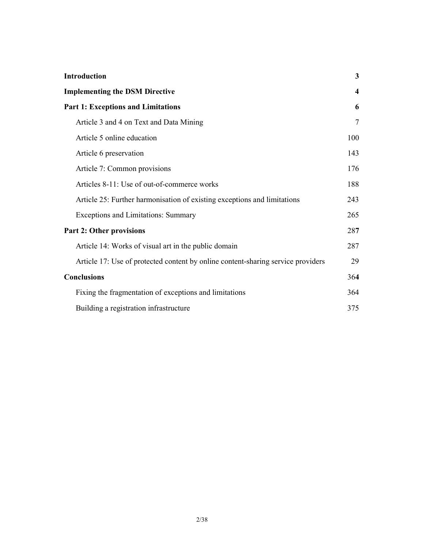| <b>Introduction</b>                                                              | 3   |
|----------------------------------------------------------------------------------|-----|
| <b>Implementing the DSM Directive</b>                                            | 4   |
| <b>Part 1: Exceptions and Limitations</b>                                        | 6   |
| Article 3 and 4 on Text and Data Mining                                          | 7   |
| Article 5 online education                                                       | 100 |
| Article 6 preservation                                                           | 143 |
| Article 7: Common provisions                                                     | 176 |
| Articles 8-11: Use of out-of-commerce works                                      | 188 |
| Article 25: Further harmonisation of existing exceptions and limitations         | 243 |
| <b>Exceptions and Limitations: Summary</b>                                       | 265 |
| <b>Part 2: Other provisions</b>                                                  | 287 |
| Article 14: Works of visual art in the public domain                             | 287 |
| Article 17: Use of protected content by online content-sharing service providers | 29  |
| <b>Conclusions</b>                                                               | 364 |
| Fixing the fragmentation of exceptions and limitations                           | 364 |
| Building a registration infrastructure                                           | 375 |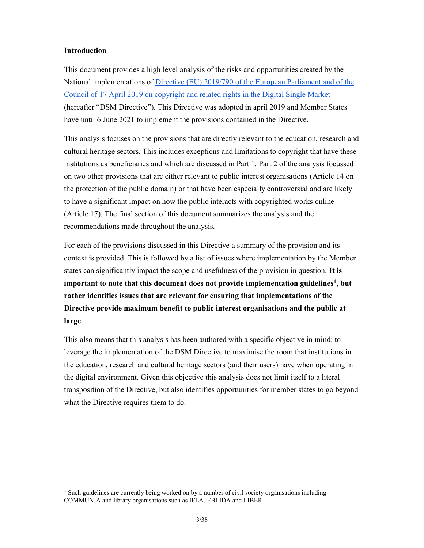# Introduction

-

This document provides a high level analysis of the risks and opportunities created by the National implementations of Directive (EU) 2019/790 of the European Parliament and of the Council of 17 April 2019 on copyright and related rights in the Digital Single Market (hereafter "DSM Directive"). This Directive was adopted in april 2019 and Member States have until 6 June 2021 to implement the provisions contained in the Directive.

This analysis focuses on the provisions that are directly relevant to the education, research and cultural heritage sectors. This includes exceptions and limitations to copyright that have these institutions as beneficiaries and which are discussed in Part 1. Part 2 of the analysis focussed on two other provisions that are either relevant to public interest organisations (Article 14 on the protection of the public domain) or that have been especially controversial and are likely to have a significant impact on how the public interacts with copyrighted works online (Article 17). The final section of this document summarizes the analysis and the recommendations made throughout the analysis.

For each of the provisions discussed in this Directive a summary of the provision and its context is provided. This is followed by a list of issues where implementation by the Member states can significantly impact the scope and usefulness of the provision in question. It is important to note that this document does not provide implementation guidelines<sup>1</sup>, but rather identifies issues that are relevant for ensuring that implementations of the Directive provide maximum benefit to public interest organisations and the public at large

This also means that this analysis has been authored with a specific objective in mind: to leverage the implementation of the DSM Directive to maximise the room that institutions in the education, research and cultural heritage sectors (and their users) have when operating in the digital environment. Given this objective this analysis does not limit itself to a literal transposition of the Directive, but also identifies opportunities for member states to go beyond what the Directive requires them to do.

 $<sup>1</sup>$  Such guidelines are currently being worked on by a number of civil society organisations including</sup> COMMUNIA and library organisations such as IFLA, EBLIDA and LIBER.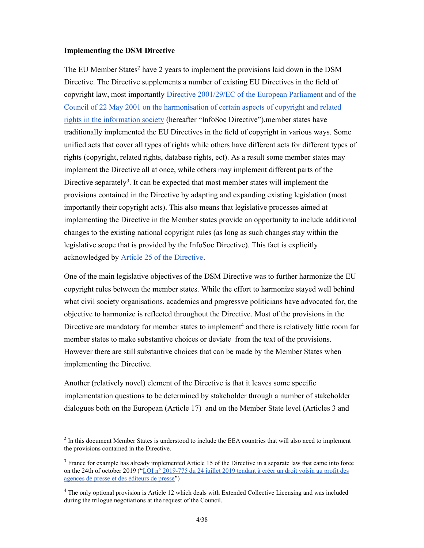#### Implementing the DSM Directive

-

The EU Member States<sup>2</sup> have 2 years to implement the provisions laid down in the DSM Directive. The Directive supplements a number of existing EU Directives in the field of copyright law, most importantly Directive 2001/29/EC of the European Parliament and of the Council of 22 May 2001 on the harmonisation of certain aspects of copyright and related rights in the information society (hereafter "InfoSoc Directive").member states have traditionally implemented the EU Directives in the field of copyright in various ways. Some unified acts that cover all types of rights while others have different acts for different types of rights (copyright, related rights, database rights, ect). As a result some member states may implement the Directive all at once, while others may implement different parts of the Directive separately<sup>3</sup>. It can be expected that most member states will implement the provisions contained in the Directive by adapting and expanding existing legislation (most importantly their copyright acts). This also means that legislative processes aimed at implementing the Directive in the Member states provide an opportunity to include additional changes to the existing national copyright rules (as long as such changes stay within the legislative scope that is provided by the InfoSoc Directive). This fact is explicitly acknowledged by Article 25 of the Directive.

One of the main legislative objectives of the DSM Directive was to further harmonize the EU copyright rules between the member states. While the effort to harmonize stayed well behind what civil society organisations, academics and progressve politicians have advocated for, the objective to harmonize is reflected throughout the Directive. Most of the provisions in the Directive are mandatory for member states to implement<sup>4</sup> and there is relatively little room for member states to make substantive choices or deviate from the text of the provisions. However there are still substantive choices that can be made by the Member States when implementing the Directive.

Another (relatively novel) element of the Directive is that it leaves some specific implementation questions to be determined by stakeholder through a number of stakeholder dialogues both on the European (Article 17) and on the Member State level (Articles 3 and

 $2 \text{ In this document Member States is understood to include the EEA countries that will also need to implement the EEA countries.}$ the provisions contained in the Directive.

 $3$  France for example has already implemented Article 15 of the Directive in a separate law that came into force on the 24th of october 2019 ("LOI n° 2019-775 du 24 juillet 2019 tendant à créer un droit voisin au profit des agences de presse et des éditeurs de presse")

<sup>&</sup>lt;sup>4</sup> The only optional provision is Article 12 which deals with Extended Collective Licensing and was included during the trilogue negotiations at the request of the Council.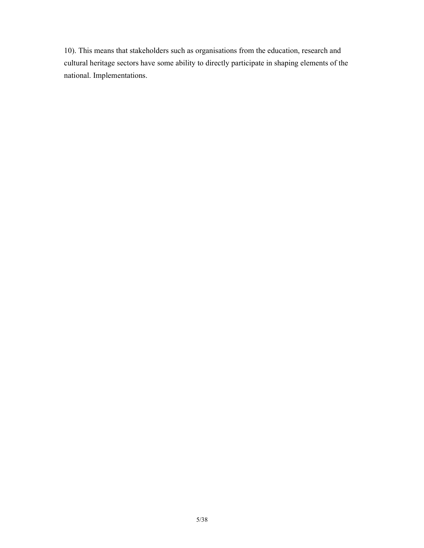10). This means that stakeholders such as organisations from the education, research and cultural heritage sectors have some ability to directly participate in shaping elements of the national. Implementations.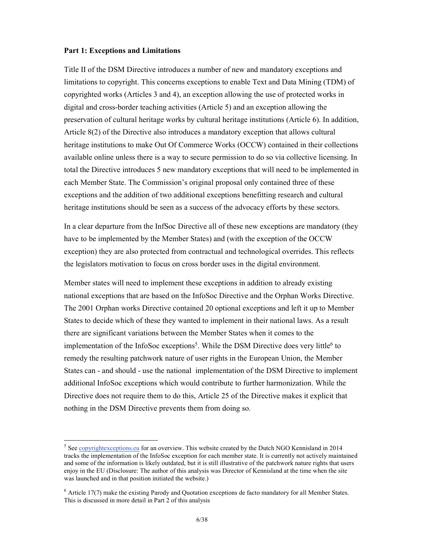#### Part 1: Exceptions and Limitations

-

Title II of the DSM Directive introduces a number of new and mandatory exceptions and limitations to copyright. This concerns exceptions to enable Text and Data Mining (TDM) of copyrighted works (Articles 3 and 4), an exception allowing the use of protected works in digital and cross-border teaching activities (Article 5) and an exception allowing the preservation of cultural heritage works by cultural heritage institutions (Article 6). In addition, Article 8(2) of the Directive also introduces a mandatory exception that allows cultural heritage institutions to make Out Of Commerce Works (OCCW) contained in their collections available online unless there is a way to secure permission to do so via collective licensing. In total the Directive introduces 5 new mandatory exceptions that will need to be implemented in each Member State. The Commission's original proposal only contained three of these exceptions and the addition of two additional exceptions benefitting research and cultural heritage institutions should be seen as a success of the advocacy efforts by these sectors.

In a clear departure from the InfSoc Directive all of these new exceptions are mandatory (they have to be implemented by the Member States) and (with the exception of the OCCW exception) they are also protected from contractual and technological overrides. This reflects the legislators motivation to focus on cross border uses in the digital environment.

Member states will need to implement these exceptions in addition to already existing national exceptions that are based on the InfoSoc Directive and the Orphan Works Directive. The 2001 Orphan works Directive contained 20 optional exceptions and left it up to Member States to decide which of these they wanted to implement in their national laws. As a result there are significant variations between the Member States when it comes to the implementation of the InfoSoc exceptions<sup>5</sup>. While the DSM Directive does very little<sup>6</sup> to remedy the resulting patchwork nature of user rights in the European Union, the Member States can - and should - use the national implementation of the DSM Directive to implement additional InfoSoc exceptions which would contribute to further harmonization. While the Directive does not require them to do this, Article 25 of the Directive makes it explicit that nothing in the DSM Directive prevents them from doing so.

 $<sup>5</sup>$  See copyrightexceptions.eu for an overview. This website created by the Dutch NGO Kennisland in 2014</sup> tracks the implementation of the InfoSoc exception for each member state. It is currently not actively maintained and some of the information is likely outdated, but it is still illustrative of the patchwork nature rights that users enjoy in the EU (Disclosure: The author of this analysis was Director of Kennisland at the time when the site was launched and in that position initiated the website.)

 $6$  Article 17(7) make the existing Parody and Quotation exceptions de facto mandatory for all Member States. This is discussed in more detail in Part 2 of this analysis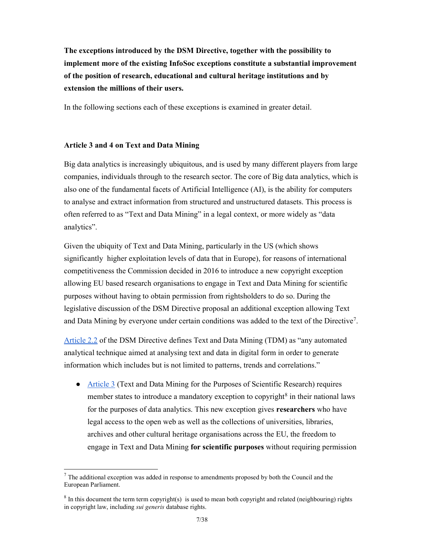The exceptions introduced by the DSM Directive, together with the possibility to implement more of the existing InfoSoc exceptions constitute a substantial improvement of the position of research, educational and cultural heritage institutions and by extension the millions of their users.

In the following sections each of these exceptions is examined in greater detail.

# Article 3 and 4 on Text and Data Mining

-

Big data analytics is increasingly ubiquitous, and is used by many different players from large companies, individuals through to the research sector. The core of Big data analytics, which is also one of the fundamental facets of Artificial Intelligence (AI), is the ability for computers to analyse and extract information from structured and unstructured datasets. This process is often referred to as "Text and Data Mining" in a legal context, or more widely as "data analytics".

Given the ubiquity of Text and Data Mining, particularly in the US (which shows significantly higher exploitation levels of data that in Europe), for reasons of international competitiveness the Commission decided in 2016 to introduce a new copyright exception allowing EU based research organisations to engage in Text and Data Mining for scientific purposes without having to obtain permission from rightsholders to do so. During the legislative discussion of the DSM Directive proposal an additional exception allowing Text and Data Mining by everyone under certain conditions was added to the text of the Directive<sup>7</sup>.

Article 2.2 of the DSM Directive defines Text and Data Mining (TDM) as "any automated analytical technique aimed at analysing text and data in digital form in order to generate information which includes but is not limited to patterns, trends and correlations."

● Article 3 (Text and Data Mining for the Purposes of Scientific Research) requires member states to introduce a mandatory exception to copyright $8$  in their national laws for the purposes of data analytics. This new exception gives researchers who have legal access to the open web as well as the collections of universities, libraries, archives and other cultural heritage organisations across the EU, the freedom to engage in Text and Data Mining for scientific purposes without requiring permission

 $<sup>7</sup>$  The additional exception was added in response to amendments proposed by both the Council and the</sup> European Parliament.

 $8 \text{ In this document the term term copyright(s)}$  is used to mean both copyright and related (neighbouring) rights in copyright law, including sui generis database rights.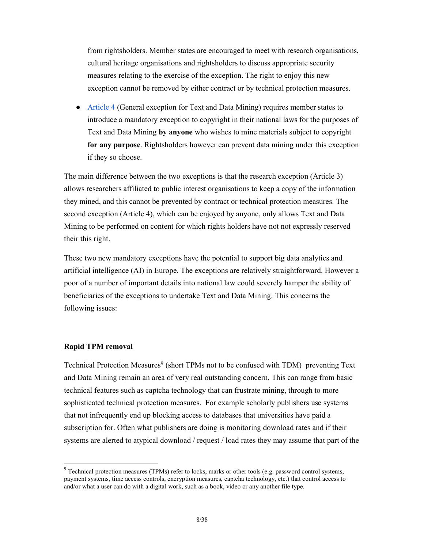from rightsholders. Member states are encouraged to meet with research organisations, cultural heritage organisations and rightsholders to discuss appropriate security measures relating to the exercise of the exception. The right to enjoy this new exception cannot be removed by either contract or by technical protection measures.

● Article 4 (General exception for Text and Data Mining) requires member states to introduce a mandatory exception to copyright in their national laws for the purposes of Text and Data Mining by anyone who wishes to mine materials subject to copyright for any purpose. Rightsholders however can prevent data mining under this exception if they so choose.

The main difference between the two exceptions is that the research exception (Article 3) allows researchers affiliated to public interest organisations to keep a copy of the information they mined, and this cannot be prevented by contract or technical protection measures. The second exception (Article 4), which can be enjoyed by anyone, only allows Text and Data Mining to be performed on content for which rights holders have not not expressly reserved their this right.

These two new mandatory exceptions have the potential to support big data analytics and artificial intelligence (AI) in Europe. The exceptions are relatively straightforward. However a poor of a number of important details into national law could severely hamper the ability of beneficiaries of the exceptions to undertake Text and Data Mining. This concerns the following issues:

# Rapid TPM removal

-

Technical Protection Measures<sup>9</sup> (short TPMs not to be confused with TDM) preventing Text and Data Mining remain an area of very real outstanding concern. This can range from basic technical features such as captcha technology that can frustrate mining, through to more sophisticated technical protection measures. For example scholarly publishers use systems that not infrequently end up blocking access to databases that universities have paid a subscription for. Often what publishers are doing is monitoring download rates and if their systems are alerted to atypical download / request / load rates they may assume that part of the

 $9^9$  Technical protection measures (TPMs) refer to locks, marks or other tools (e.g. password control systems, payment systems, time access controls, encryption measures, captcha technology, etc.) that control access to and/or what a user can do with a digital work, such as a book, video or any another file type.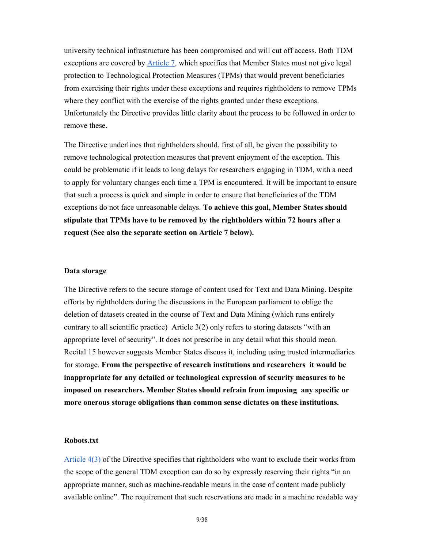university technical infrastructure has been compromised and will cut off access. Both TDM exceptions are covered by Article 7, which specifies that Member States must not give legal protection to Technological Protection Measures (TPMs) that would prevent beneficiaries from exercising their rights under these exceptions and requires rightholders to remove TPMs where they conflict with the exercise of the rights granted under these exceptions. Unfortunately the Directive provides little clarity about the process to be followed in order to remove these.

The Directive underlines that rightholders should, first of all, be given the possibility to remove technological protection measures that prevent enjoyment of the exception. This could be problematic if it leads to long delays for researchers engaging in TDM, with a need to apply for voluntary changes each time a TPM is encountered. It will be important to ensure that such a process is quick and simple in order to ensure that beneficiaries of the TDM exceptions do not face unreasonable delays. To achieve this goal, Member States should stipulate that TPMs have to be removed by the rightholders within 72 hours after a request (See also the separate section on Article 7 below).

#### Data storage

The Directive refers to the secure storage of content used for Text and Data Mining. Despite efforts by rightholders during the discussions in the European parliament to oblige the deletion of datasets created in the course of Text and Data Mining (which runs entirely contrary to all scientific practice) Article 3(2) only refers to storing datasets "with an appropriate level of security". It does not prescribe in any detail what this should mean. Recital 15 however suggests Member States discuss it, including using trusted intermediaries for storage. From the perspective of research institutions and researchers it would be inappropriate for any detailed or technological expression of security measures to be imposed on researchers. Member States should refrain from imposing any specific or more onerous storage obligations than common sense dictates on these institutions.

#### Robots.txt

Article 4(3) of the Directive specifies that rightholders who want to exclude their works from the scope of the general TDM exception can do so by expressly reserving their rights "in an appropriate manner, such as machine-readable means in the case of content made publicly available online". The requirement that such reservations are made in a machine readable way

9/38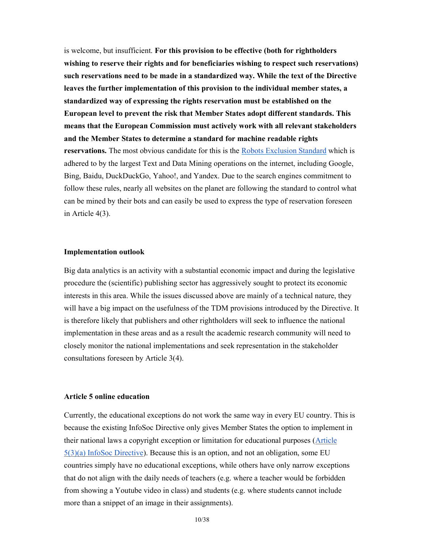is welcome, but insufficient. For this provision to be effective (both for rightholders wishing to reserve their rights and for beneficiaries wishing to respect such reservations) such reservations need to be made in a standardized way. While the text of the Directive leaves the further implementation of this provision to the individual member states, a standardized way of expressing the rights reservation must be established on the European level to prevent the risk that Member States adopt different standards. This means that the European Commission must actively work with all relevant stakeholders and the Member States to determine a standard for machine readable rights reservations. The most obvious candidate for this is the Robots Exclusion Standard which is adhered to by the largest Text and Data Mining operations on the internet, including Google, Bing, Baidu, DuckDuckGo, Yahoo!, and Yandex. Due to the search engines commitment to follow these rules, nearly all websites on the planet are following the standard to control what can be mined by their bots and can easily be used to express the type of reservation foreseen in Article 4(3).

#### Implementation outlook

Big data analytics is an activity with a substantial economic impact and during the legislative procedure the (scientific) publishing sector has aggressively sought to protect its economic interests in this area. While the issues discussed above are mainly of a technical nature, they will have a big impact on the usefulness of the TDM provisions introduced by the Directive. It is therefore likely that publishers and other rightholders will seek to influence the national implementation in these areas and as a result the academic research community will need to closely monitor the national implementations and seek representation in the stakeholder consultations foreseen by Article 3(4).

# Article 5 online education

Currently, the educational exceptions do not work the same way in every EU country. This is because the existing InfoSoc Directive only gives Member States the option to implement in their national laws a copyright exception or limitation for educational purposes (Article 5(3)(a) InfoSoc Directive). Because this is an option, and not an obligation, some EU countries simply have no educational exceptions, while others have only narrow exceptions that do not align with the daily needs of teachers (e.g. where a teacher would be forbidden from showing a Youtube video in class) and students (e.g. where students cannot include more than a snippet of an image in their assignments).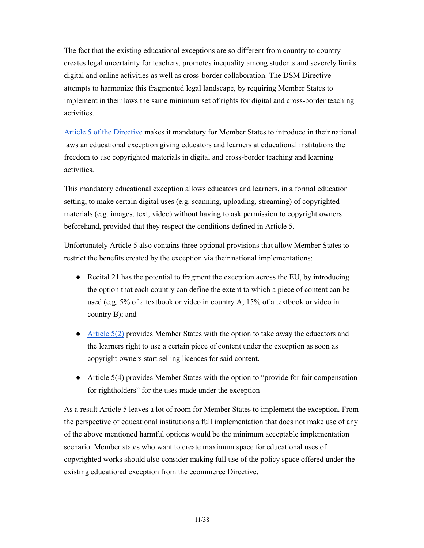The fact that the existing educational exceptions are so different from country to country creates legal uncertainty for teachers, promotes inequality among students and severely limits digital and online activities as well as cross-border collaboration. The DSM Directive attempts to harmonize this fragmented legal landscape, by requiring Member States to implement in their laws the same minimum set of rights for digital and cross-border teaching activities.

Article 5 of the Directive makes it mandatory for Member States to introduce in their national laws an educational exception giving educators and learners at educational institutions the freedom to use copyrighted materials in digital and cross-border teaching and learning activities.

This mandatory educational exception allows educators and learners, in a formal education setting, to make certain digital uses (e.g. scanning, uploading, streaming) of copyrighted materials (e.g. images, text, video) without having to ask permission to copyright owners beforehand, provided that they respect the conditions defined in Article 5.

Unfortunately Article 5 also contains three optional provisions that allow Member States to restrict the benefits created by the exception via their national implementations:

- Recital 21 has the potential to fragment the exception across the EU, by introducing the option that each country can define the extent to which a piece of content can be used (e.g. 5% of a textbook or video in country A, 15% of a textbook or video in country B); and
- Article  $5(2)$  provides Member States with the option to take away the educators and the learners right to use a certain piece of content under the exception as soon as copyright owners start selling licences for said content.
- Article 5(4) provides Member States with the option to "provide for fair compensation for rightholders" for the uses made under the exception

As a result Article 5 leaves a lot of room for Member States to implement the exception. From the perspective of educational institutions a full implementation that does not make use of any of the above mentioned harmful options would be the minimum acceptable implementation scenario. Member states who want to create maximum space for educational uses of copyrighted works should also consider making full use of the policy space offered under the existing educational exception from the ecommerce Directive.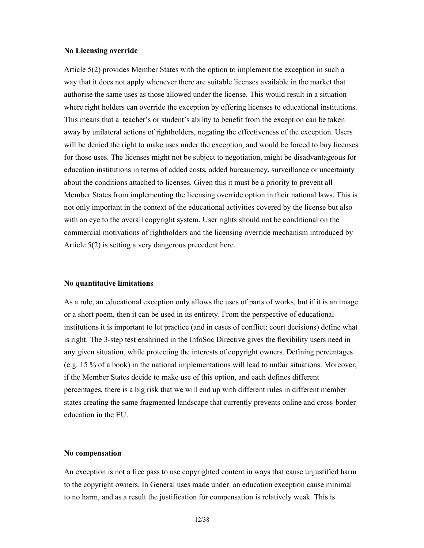#### No Licensing override

Article 5(2) provides Member States with the option to implement the exception in such a way that it does not apply whenever there are suitable licenses available in the market that authorise the same uses as those allowed under the license. This would result in a situation where right holders can override the exception by offering licenses to educational institutions. This means that a teacher's or student's ability to benefit from the exception can be taken away by unilateral actions of rightholders, negating the effectiveness of the exception. Users will be denied the right to make uses under the exception, and would be forced to buy licenses for those uses. The licenses might not be subject to negotiation, might be disadvantageous for education institutions in terms of added costs, added bureaucracy, surveillance or uncertainty about the conditions attached to licenses. Given this it must be a priority to prevent all Member States from implementing the licensing override option in their national laws. This is not only important in the context of the educational activities covered by the license but also with an eye to the overall copyright system. User rights should not be conditional on the commercial motivations of rightholders and the licensing override mechanism introduced by Article 5(2) is setting a very dangerous precedent here.

#### No quantitative limitations

As a rule, an educational exception only allows the uses of parts of works, but if it is an image or a short poem, then it can be used in its entirety. From the perspective of educational institutions it is important to let practice (and in cases of conflict: court decisions) define what is right. The 3-step test enshrined in the InfoSoc Directive gives the flexibility users need in any given situation, while protecting the interests of copyright owners. Defining percentages (e.g. 15 % of a book) in the national implementations will lead to unfair situations. Moreover, if the Member States decide to make use of this option, and each defines different percentages, there is a big risk that we will end up with different rules in different member states creating the same fragmented landscape that currently prevents online and cross-border education in the EU.

#### No compensation

An exception is not a free pass to use copyrighted content in ways that cause unjustified harm to the copyright owners. In General uses made under an education exception cause minimal to no harm, and as a result the justification for compensation is relatively weak. This is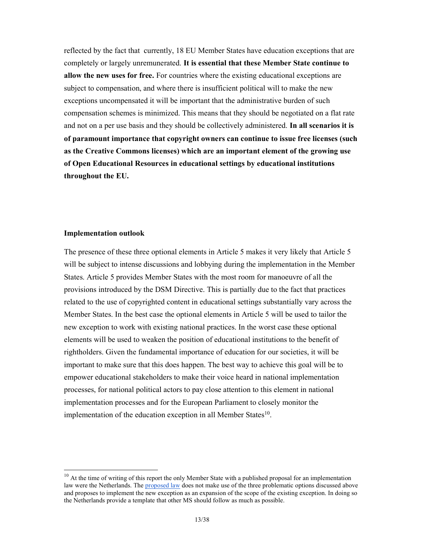reflected by the fact that currently, 18 EU Member States have education exceptions that are completely or largely unremunerated. It is essential that these Member State continue to allow the new uses for free. For countries where the existing educational exceptions are subject to compensation, and where there is insufficient political will to make the new exceptions uncompensated it will be important that the administrative burden of such compensation schemes is minimized. This means that they should be negotiated on a flat rate and not on a per use basis and they should be collectively administered. In all scenarios it is of paramount importance that copyright owners can continue to issue free licenses (such as the Creative Commons licenses) which are an important element of the growing use of Open Educational Resources in educational settings by educational institutions throughout the EU.

#### Implementation outlook

-

The presence of these three optional elements in Article 5 makes it very likely that Article 5 will be subject to intense discussions and lobbying during the implementation in the Member States. Article 5 provides Member States with the most room for manoeuvre of all the provisions introduced by the DSM Directive. This is partially due to the fact that practices related to the use of copyrighted content in educational settings substantially vary across the Member States. In the best case the optional elements in Article 5 will be used to tailor the new exception to work with existing national practices. In the worst case these optional elements will be used to weaken the position of educational institutions to the benefit of rightholders. Given the fundamental importance of education for our societies, it will be important to make sure that this does happen. The best way to achieve this goal will be to empower educational stakeholders to make their voice heard in national implementation processes, for national political actors to pay close attention to this element in national implementation processes and for the European Parliament to closely monitor the implementation of the education exception in all Member States $10$ .

 $10$  At the time of writing of this report the only Member State with a published proposal for an implementation law were the Netherlands. The proposed law does not make use of the three problematic options discussed above and proposes to implement the new exception as an expansion of the scope of the existing exception. In doing so the Netherlands provide a template that other MS should follow as much as possible.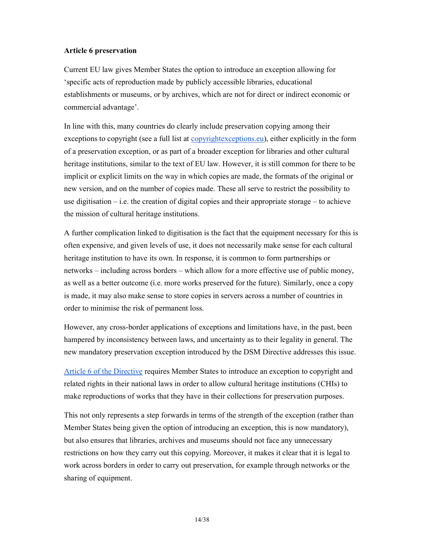# Article 6 preservation

Current EU law gives Member States the option to introduce an exception allowing for 'specific acts of reproduction made by publicly accessible libraries, educational establishments or museums, or by archives, which are not for direct or indirect economic or commercial advantage'.

In line with this, many countries do clearly include preservation copying among their exceptions to copyright (see a full list at copyrightexceptions.eu), either explicitly in the form of a preservation exception, or as part of a broader exception for libraries and other cultural heritage institutions, similar to the text of EU law. However, it is still common for there to be implicit or explicit limits on the way in which copies are made, the formats of the original or new version, and on the number of copies made. These all serve to restrict the possibility to use digitisation – i.e. the creation of digital copies and their appropriate storage – to achieve the mission of cultural heritage institutions.

A further complication linked to digitisation is the fact that the equipment necessary for this is often expensive, and given levels of use, it does not necessarily make sense for each cultural heritage institution to have its own. In response, it is common to form partnerships or networks – including across borders – which allow for a more effective use of public money, as well as a better outcome (i.e. more works preserved for the future). Similarly, once a copy is made, it may also make sense to store copies in servers across a number of countries in order to minimise the risk of permanent loss.

However, any cross-border applications of exceptions and limitations have, in the past, been hampered by inconsistency between laws, and uncertainty as to their legality in general. The new mandatory preservation exception introduced by the DSM Directive addresses this issue.

Article 6 of the Directive requires Member States to introduce an exception to copyright and related rights in their national laws in order to allow cultural heritage institutions (CHIs) to make reproductions of works that they have in their collections for preservation purposes.

This not only represents a step forwards in terms of the strength of the exception (rather than Member States being given the option of introducing an exception, this is now mandatory), but also ensures that libraries, archives and museums should not face any unnecessary restrictions on how they carry out this copying. Moreover, it makes it clear that it is legal to work across borders in order to carry out preservation, for example through networks or the sharing of equipment.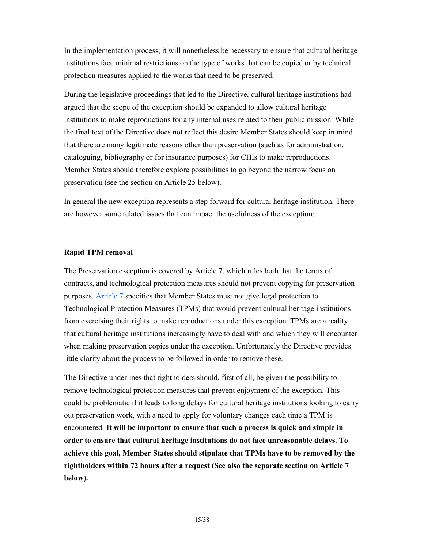In the implementation process, it will nonetheless be necessary to ensure that cultural heritage institutions face minimal restrictions on the type of works that can be copied or by technical protection measures applied to the works that need to be preserved.

During the legislative proceedings that led to the Directive, cultural heritage institutions had argued that the scope of the exception should be expanded to allow cultural heritage institutions to make reproductions for any internal uses related to their public mission. While the final text of the Directive does not reflect this desire Member States should keep in mind that there are many legitimate reasons other than preservation (such as for administration, cataloguing, bibliography or for insurance purposes) for CHIs to make reproductions. Member States should therefore explore possibilities to go beyond the narrow focus on preservation (see the section on Article 25 below).

In general the new exception represents a step forward for cultural heritage institution. There are however some related issues that can impact the usefulness of the exception:

#### Rapid TPM removal

The Preservation exception is covered by Article 7, which rules both that the terms of contracts, and technological protection measures should not prevent copying for preservation purposes. Article 7 specifies that Member States must not give legal protection to Technological Protection Measures (TPMs) that would prevent cultural heritage institutions from exercising their rights to make reproductions under this exception. TPMs are a reality that cultural heritage institutions increasingly have to deal with and which they will encounter when making preservation copies under the exception. Unfortunately the Directive provides little clarity about the process to be followed in order to remove these.

The Directive underlines that rightholders should, first of all, be given the possibility to remove technological protection measures that prevent enjoyment of the exception. This could be problematic if it leads to long delays for cultural heritage institutions looking to carry out preservation work, with a need to apply for voluntary changes each time a TPM is encountered. It will be important to ensure that such a process is quick and simple in order to ensure that cultural heritage institutions do not face unreasonable delays. To achieve this goal, Member States should stipulate that TPMs have to be removed by the rightholders within 72 hours after a request (See also the separate section on Article 7 below).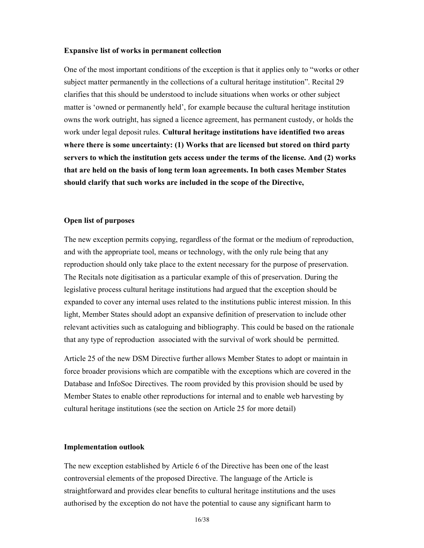#### Expansive list of works in permanent collection

One of the most important conditions of the exception is that it applies only to "works or other subject matter permanently in the collections of a cultural heritage institution". Recital 29 clarifies that this should be understood to include situations when works or other subject matter is 'owned or permanently held', for example because the cultural heritage institution owns the work outright, has signed a licence agreement, has permanent custody, or holds the work under legal deposit rules. Cultural heritage institutions have identified two areas where there is some uncertainty: (1) Works that are licensed but stored on third party servers to which the institution gets access under the terms of the license. And (2) works that are held on the basis of long term loan agreements. In both cases Member States should clarify that such works are included in the scope of the Directive,

#### Open list of purposes

The new exception permits copying, regardless of the format or the medium of reproduction, and with the appropriate tool, means or technology, with the only rule being that any reproduction should only take place to the extent necessary for the purpose of preservation. The Recitals note digitisation as a particular example of this of preservation. During the legislative process cultural heritage institutions had argued that the exception should be expanded to cover any internal uses related to the institutions public interest mission. In this light, Member States should adopt an expansive definition of preservation to include other relevant activities such as cataloguing and bibliography. This could be based on the rationale that any type of reproduction associated with the survival of work should be permitted.

Article 25 of the new DSM Directive further allows Member States to adopt or maintain in force broader provisions which are compatible with the exceptions which are covered in the Database and InfoSoc Directives. The room provided by this provision should be used by Member States to enable other reproductions for internal and to enable web harvesting by cultural heritage institutions (see the section on Article 25 for more detail)

#### Implementation outlook

The new exception established by Article 6 of the Directive has been one of the least controversial elements of the proposed Directive. The language of the Article is straightforward and provides clear benefits to cultural heritage institutions and the uses authorised by the exception do not have the potential to cause any significant harm to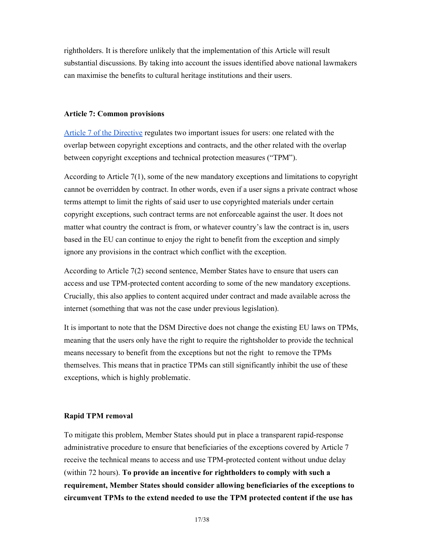rightholders. It is therefore unlikely that the implementation of this Article will result substantial discussions. By taking into account the issues identified above national lawmakers can maximise the benefits to cultural heritage institutions and their users.

# Article 7: Common provisions

Article 7 of the Directive regulates two important issues for users: one related with the overlap between copyright exceptions and contracts, and the other related with the overlap between copyright exceptions and technical protection measures ("TPM").

According to Article 7(1), some of the new mandatory exceptions and limitations to copyright cannot be overridden by contract. In other words, even if a user signs a private contract whose terms attempt to limit the rights of said user to use copyrighted materials under certain copyright exceptions, such contract terms are not enforceable against the user. It does not matter what country the contract is from, or whatever country's law the contract is in, users based in the EU can continue to enjoy the right to benefit from the exception and simply ignore any provisions in the contract which conflict with the exception.

According to Article 7(2) second sentence, Member States have to ensure that users can access and use TPM-protected content according to some of the new mandatory exceptions. Crucially, this also applies to content acquired under contract and made available across the internet (something that was not the case under previous legislation).

It is important to note that the DSM Directive does not change the existing EU laws on TPMs, meaning that the users only have the right to require the rightsholder to provide the technical means necessary to benefit from the exceptions but not the right to remove the TPMs themselves. This means that in practice TPMs can still significantly inhibit the use of these exceptions, which is highly problematic.

#### Rapid TPM removal

To mitigate this problem, Member States should put in place a transparent rapid-response administrative procedure to ensure that beneficiaries of the exceptions covered by Article 7 receive the technical means to access and use TPM-protected content without undue delay (within 72 hours). To provide an incentive for rightholders to comply with such a requirement, Member States should consider allowing beneficiaries of the exceptions to circumvent TPMs to the extend needed to use the TPM protected content if the use has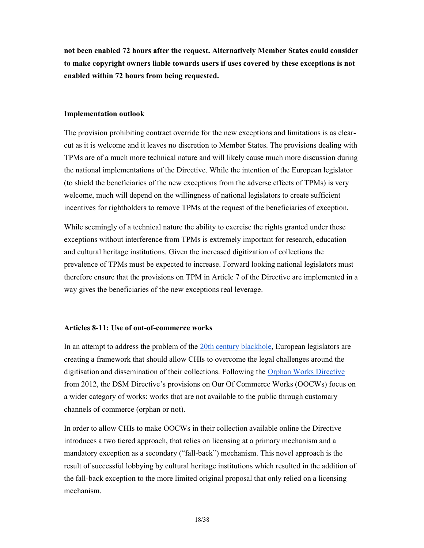not been enabled 72 hours after the request. Alternatively Member States could consider to make copyright owners liable towards users if uses covered by these exceptions is not enabled within 72 hours from being requested.

# Implementation outlook

The provision prohibiting contract override for the new exceptions and limitations is as clearcut as it is welcome and it leaves no discretion to Member States. The provisions dealing with TPMs are of a much more technical nature and will likely cause much more discussion during the national implementations of the Directive. While the intention of the European legislator (to shield the beneficiaries of the new exceptions from the adverse effects of TPMs) is very welcome, much will depend on the willingness of national legislators to create sufficient incentives for rightholders to remove TPMs at the request of the beneficiaries of exception.

While seemingly of a technical nature the ability to exercise the rights granted under these exceptions without interference from TPMs is extremely important for research, education and cultural heritage institutions. Given the increased digitization of collections the prevalence of TPMs must be expected to increase. Forward looking national legislators must therefore ensure that the provisions on TPM in Article 7 of the Directive are implemented in a way gives the beneficiaries of the new exceptions real leverage.

# Articles 8-11: Use of out-of-commerce works

In an attempt to address the problem of the 20th century blackhole, European legislators are creating a framework that should allow CHIs to overcome the legal challenges around the digitisation and dissemination of their collections. Following the Orphan Works Directive from 2012, the DSM Directive's provisions on Our Of Commerce Works (OOCWs) focus on a wider category of works: works that are not available to the public through customary channels of commerce (orphan or not).

In order to allow CHIs to make OOCWs in their collection available online the Directive introduces a two tiered approach, that relies on licensing at a primary mechanism and a mandatory exception as a secondary ("fall-back") mechanism. This novel approach is the result of successful lobbying by cultural heritage institutions which resulted in the addition of the fall-back exception to the more limited original proposal that only relied on a licensing mechanism.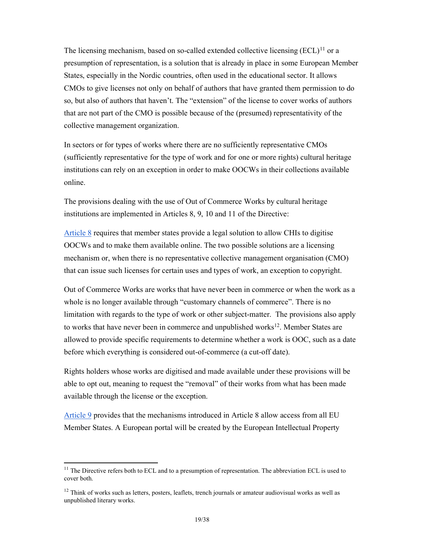The licensing mechanism, based on so-called extended collective licensing  $(ECL)^{11}$  or a presumption of representation, is a solution that is already in place in some European Member States, especially in the Nordic countries, often used in the educational sector. It allows CMOs to give licenses not only on behalf of authors that have granted them permission to do so, but also of authors that haven't. The "extension" of the license to cover works of authors that are not part of the CMO is possible because of the (presumed) representativity of the collective management organization.

In sectors or for types of works where there are no sufficiently representative CMOs (sufficiently representative for the type of work and for one or more rights) cultural heritage institutions can rely on an exception in order to make OOCWs in their collections available online.

The provisions dealing with the use of Out of Commerce Works by cultural heritage institutions are implemented in Articles 8, 9, 10 and 11 of the Directive:

Article 8 requires that member states provide a legal solution to allow CHIs to digitise OOCWs and to make them available online. The two possible solutions are a licensing mechanism or, when there is no representative collective management organisation (CMO) that can issue such licenses for certain uses and types of work, an exception to copyright.

Out of Commerce Works are works that have never been in commerce or when the work as a whole is no longer available through "customary channels of commerce". There is no limitation with regards to the type of work or other subject-matter. The provisions also apply to works that have never been in commerce and unpublished works<sup>12</sup>. Member States are allowed to provide specific requirements to determine whether a work is OOC, such as a date before which everything is considered out-of-commerce (a cut-off date).

Rights holders whose works are digitised and made available under these provisions will be able to opt out, meaning to request the "removal" of their works from what has been made available through the license or the exception.

Article 9 provides that the mechanisms introduced in Article 8 allow access from all EU Member States. A European portal will be created by the European Intellectual Property

-

 $11$  The Directive refers both to ECL and to a presumption of representation. The abbreviation ECL is used to cover both.

 $12$  Think of works such as letters, posters, leaflets, trench journals or amateur audiovisual works as well as unpublished literary works.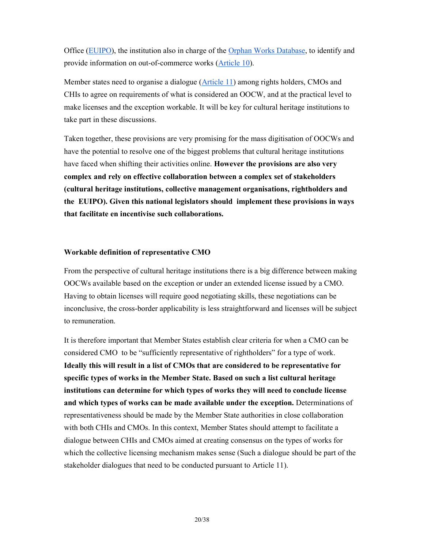Office (EUIPO), the institution also in charge of the Orphan Works Database, to identify and provide information on out-of-commerce works (Article 10).

Member states need to organise a dialogue (Article 11) among rights holders, CMOs and CHIs to agree on requirements of what is considered an OOCW, and at the practical level to make licenses and the exception workable. It will be key for cultural heritage institutions to take part in these discussions.

Taken together, these provisions are very promising for the mass digitisation of OOCWs and have the potential to resolve one of the biggest problems that cultural heritage institutions have faced when shifting their activities online. However the provisions are also very complex and rely on effective collaboration between a complex set of stakeholders (cultural heritage institutions, collective management organisations, rightholders and the EUIPO). Given this national legislators should implement these provisions in ways that facilitate en incentivise such collaborations.

#### Workable definition of representative CMO

From the perspective of cultural heritage institutions there is a big difference between making OOCWs available based on the exception or under an extended license issued by a CMO. Having to obtain licenses will require good negotiating skills, these negotiations can be inconclusive, the cross-border applicability is less straightforward and licenses will be subject to remuneration.

It is therefore important that Member States establish clear criteria for when a CMO can be considered CMO to be "sufficiently representative of rightholders" for a type of work. Ideally this will result in a list of CMOs that are considered to be representative for specific types of works in the Member State. Based on such a list cultural heritage institutions can determine for which types of works they will need to conclude license and which types of works can be made available under the exception. Determinations of representativeness should be made by the Member State authorities in close collaboration with both CHIs and CMOs. In this context, Member States should attempt to facilitate a dialogue between CHIs and CMOs aimed at creating consensus on the types of works for which the collective licensing mechanism makes sense (Such a dialogue should be part of the stakeholder dialogues that need to be conducted pursuant to Article 11).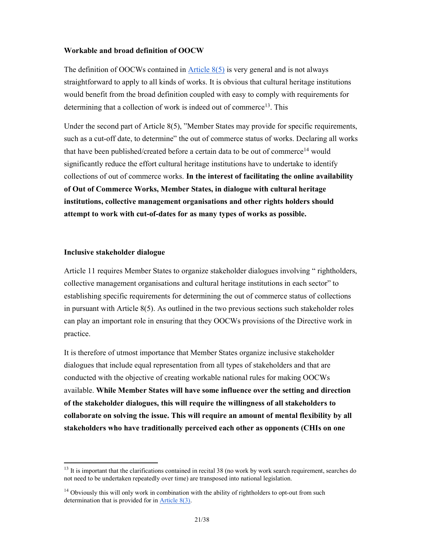# Workable and broad definition of OOCW

The definition of OOCWs contained in Article  $8(5)$  is very general and is not always straightforward to apply to all kinds of works. It is obvious that cultural heritage institutions would benefit from the broad definition coupled with easy to comply with requirements for determining that a collection of work is indeed out of commerce<sup>13</sup>. This

Under the second part of Article 8(5), "Member States may provide for specific requirements, such as a cut-off date, to determine" the out of commerce status of works. Declaring all works that have been published/created before a certain data to be out of commerce<sup>14</sup> would significantly reduce the effort cultural heritage institutions have to undertake to identify collections of out of commerce works. In the interest of facilitating the online availability of Out of Commerce Works, Member States, in dialogue with cultural heritage institutions, collective management organisations and other rights holders should attempt to work with cut-of-dates for as many types of works as possible.

#### Inclusive stakeholder dialogue

-

Article 11 requires Member States to organize stakeholder dialogues involving " rightholders, collective management organisations and cultural heritage institutions in each sector" to establishing specific requirements for determining the out of commerce status of collections in pursuant with Article  $8(5)$ . As outlined in the two previous sections such stakeholder roles can play an important role in ensuring that they OOCWs provisions of the Directive work in practice.

It is therefore of utmost importance that Member States organize inclusive stakeholder dialogues that include equal representation from all types of stakeholders and that are conducted with the objective of creating workable national rules for making OOCWs available. While Member States will have some influence over the setting and direction of the stakeholder dialogues, this will require the willingness of all stakeholders to collaborate on solving the issue. This will require an amount of mental flexibility by all stakeholders who have traditionally perceived each other as opponents (CHIs on one

 $13$  It is important that the clarifications contained in recital 38 (no work by work search requirement, searches do not need to be undertaken repeatedly over time) are transposed into national legislation.

 $14$  Obviously this will only work in combination with the ability of rightholders to opt-out from such determination that is provided for in Article 8(3).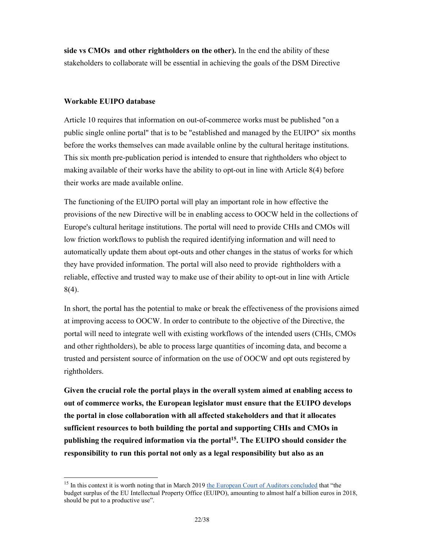side vs CMOs and other rightholders on the other). In the end the ability of these stakeholders to collaborate will be essential in achieving the goals of the DSM Directive

# Workable EUIPO database

-

Article 10 requires that information on out-of-commerce works must be published "on a public single online portal" that is to be "established and managed by the EUIPO" six months before the works themselves can made available online by the cultural heritage institutions. This six month pre-publication period is intended to ensure that rightholders who object to making available of their works have the ability to opt-out in line with Article 8(4) before their works are made available online.

The functioning of the EUIPO portal will play an important role in how effective the provisions of the new Directive will be in enabling access to OOCW held in the collections of Europe's cultural heritage institutions. The portal will need to provide CHIs and CMOs will low friction workflows to publish the required identifying information and will need to automatically update them about opt-outs and other changes in the status of works for which they have provided information. The portal will also need to provide rightholders with a reliable, effective and trusted way to make use of their ability to opt-out in line with Article 8(4).

In short, the portal has the potential to make or break the effectiveness of the provisions aimed at improving access to OOCW. In order to contribute to the objective of the Directive, the portal will need to integrate well with existing workflows of the intended users (CHIs, CMOs and other rightholders), be able to process large quantities of incoming data, and become a trusted and persistent source of information on the use of OOCW and opt outs registered by rightholders.

Given the crucial role the portal plays in the overall system aimed at enabling access to out of commerce works, the European legislator must ensure that the EUIPO develops the portal in close collaboration with all affected stakeholders and that it allocates sufficient resources to both building the portal and supporting CHIs and CMOs in publishing the required information via the portal<sup>15</sup>. The EUIPO should consider the responsibility to run this portal not only as a legal responsibility but also as an

<sup>&</sup>lt;sup>15</sup> In this context it is worth noting that in March 2019 the European Court of Auditors concluded that "the budget surplus of the EU Intellectual Property Office (EUIPO), amounting to almost half a billion euros in 2018, should be put to a productive use".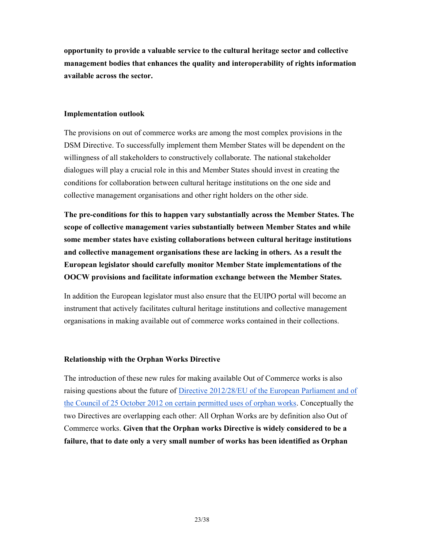opportunity to provide a valuable service to the cultural heritage sector and collective management bodies that enhances the quality and interoperability of rights information available across the sector.

# Implementation outlook

The provisions on out of commerce works are among the most complex provisions in the DSM Directive. To successfully implement them Member States will be dependent on the willingness of all stakeholders to constructively collaborate. The national stakeholder dialogues will play a crucial role in this and Member States should invest in creating the conditions for collaboration between cultural heritage institutions on the one side and collective management organisations and other right holders on the other side.

The pre-conditions for this to happen vary substantially across the Member States. The scope of collective management varies substantially between Member States and while some member states have existing collaborations between cultural heritage institutions and collective management organisations these are lacking in others. As a result the European legislator should carefully monitor Member State implementations of the OOCW provisions and facilitate information exchange between the Member States.

In addition the European legislator must also ensure that the EUIPO portal will become an instrument that actively facilitates cultural heritage institutions and collective management organisations in making available out of commerce works contained in their collections.

# Relationship with the Orphan Works Directive

The introduction of these new rules for making available Out of Commerce works is also raising questions about the future of Directive 2012/28/EU of the European Parliament and of the Council of 25 October 2012 on certain permitted uses of orphan works. Conceptually the two Directives are overlapping each other: All Orphan Works are by definition also Out of Commerce works. Given that the Orphan works Directive is widely considered to be a failure, that to date only a very small number of works has been identified as Orphan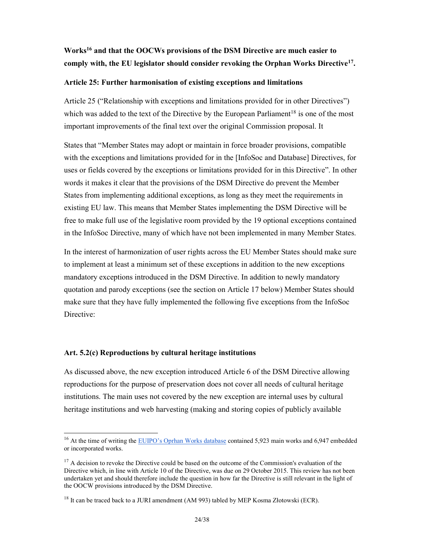# Works<sup>16</sup> and that the OOCWs provisions of the DSM Directive are much easier to comply with, the EU legislator should consider revoking the Orphan Works Directive<sup>17</sup>.

#### Article 25: Further harmonisation of existing exceptions and limitations

Article 25 ("Relationship with exceptions and limitations provided for in other Directives") which was added to the text of the Directive by the European Parliament<sup>18</sup> is one of the most important improvements of the final text over the original Commission proposal. It

States that "Member States may adopt or maintain in force broader provisions, compatible with the exceptions and limitations provided for in the [InfoSoc and Database] Directives, for uses or fields covered by the exceptions or limitations provided for in this Directive". In other words it makes it clear that the provisions of the DSM Directive do prevent the Member States from implementing additional exceptions, as long as they meet the requirements in existing EU law. This means that Member States implementing the DSM Directive will be free to make full use of the legislative room provided by the 19 optional exceptions contained in the InfoSoc Directive, many of which have not been implemented in many Member States.

In the interest of harmonization of user rights across the EU Member States should make sure to implement at least a minimum set of these exceptions in addition to the new exceptions mandatory exceptions introduced in the DSM Directive. In addition to newly mandatory quotation and parody exceptions (see the section on Article 17 below) Member States should make sure that they have fully implemented the following five exceptions from the InfoSoc Directive:

#### Art. 5.2(c) Reproductions by cultural heritage institutions

-

As discussed above, the new exception introduced Article 6 of the DSM Directive allowing reproductions for the purpose of preservation does not cover all needs of cultural heritage institutions. The main uses not covered by the new exception are internal uses by cultural heritage institutions and web harvesting (making and storing copies of publicly available

<sup>&</sup>lt;sup>16</sup> At the time of writing the EUIPO's Oprhan Works database contained 5,923 main works and 6,947 embedded or incorporated works.

<sup>&</sup>lt;sup>17</sup> A decision to revoke the Directive could be based on the outcome of the Commission's evaluation of the Directive which, in line with Article 10 of the Directive, was due on 29 October 2015. This review has not been undertaken yet and should therefore include the question in how far the Directive is still relevant in the light of the OOCW provisions introduced by the DSM Directive.

<sup>&</sup>lt;sup>18</sup> It can be traced back to a JURI amendment (AM 993) tabled by MEP Kosma Złotowski (ECR).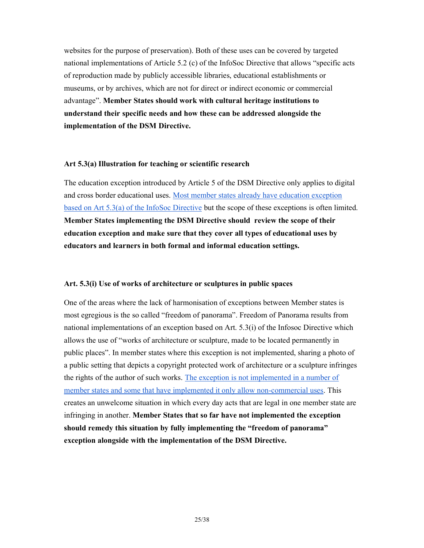websites for the purpose of preservation). Both of these uses can be covered by targeted national implementations of Article 5.2 (c) of the InfoSoc Directive that allows "specific acts of reproduction made by publicly accessible libraries, educational establishments or museums, or by archives, which are not for direct or indirect economic or commercial advantage". Member States should work with cultural heritage institutions to understand their specific needs and how these can be addressed alongside the implementation of the DSM Directive.

#### Art 5.3(a) Illustration for teaching or scientific research

The education exception introduced by Article 5 of the DSM Directive only applies to digital and cross border educational uses. Most member states already have education exception based on Art 5.3(a) of the InfoSoc Directive but the scope of these exceptions is often limited. Member States implementing the DSM Directive should review the scope of their education exception and make sure that they cover all types of educational uses by educators and learners in both formal and informal education settings.

# Art. 5.3(i) Use of works of architecture or sculptures in public spaces

One of the areas where the lack of harmonisation of exceptions between Member states is most egregious is the so called "freedom of panorama". Freedom of Panorama results from national implementations of an exception based on Art. 5.3(i) of the Infosoc Directive which allows the use of "works of architecture or sculpture, made to be located permanently in public places". In member states where this exception is not implemented, sharing a photo of a public setting that depicts a copyright protected work of architecture or a sculpture infringes the rights of the author of such works. The exception is not implemented in a number of member states and some that have implemented it only allow non-commercial uses. This creates an unwelcome situation in which every day acts that are legal in one member state are infringing in another. Member States that so far have not implemented the exception should remedy this situation by fully implementing the "freedom of panorama" exception alongside with the implementation of the DSM Directive.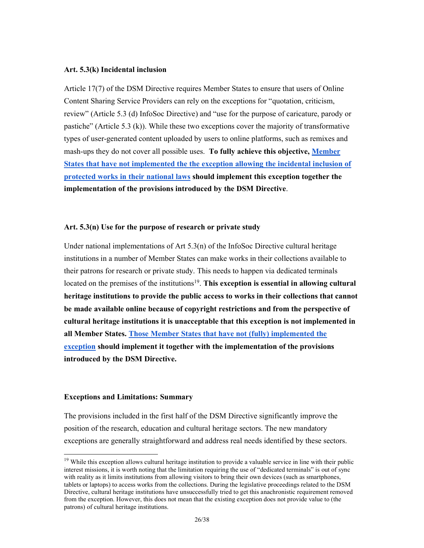#### Art. 5.3(k) Incidental inclusion

Article 17(7) of the DSM Directive requires Member States to ensure that users of Online Content Sharing Service Providers can rely on the exceptions for "quotation, criticism, review" (Article 5.3 (d) InfoSoc Directive) and "use for the purpose of caricature, parody or pastiche" (Article 5.3 (k)). While these two exceptions cover the majority of transformative types of user-generated content uploaded by users to online platforms, such as remixes and mash-ups they do not cover all possible uses. To fully achieve this objective, Member States that have not implemented the the exception allowing the incidental inclusion of protected works in their national laws should implement this exception together the implementation of the provisions introduced by the DSM Directive.

# Art. 5.3(n) Use for the purpose of research or private study

Under national implementations of Art  $5.3(n)$  of the InfoSoc Directive cultural heritage institutions in a number of Member States can make works in their collections available to their patrons for research or private study. This needs to happen via dedicated terminals located on the premises of the institutions<sup>19</sup>. This exception is essential in allowing cultural heritage institutions to provide the public access to works in their collections that cannot be made available online because of copyright restrictions and from the perspective of cultural heritage institutions it is unacceptable that this exception is not implemented in all Member States. Those Member States that have not (fully) implemented the exception should implement it together with the implementation of the provisions introduced by the DSM Directive.

#### Exceptions and Limitations: Summary

-

The provisions included in the first half of the DSM Directive significantly improve the position of the research, education and cultural heritage sectors. The new mandatory exceptions are generally straightforward and address real needs identified by these sectors.

 $19$  While this exception allows cultural heritage institution to provide a valuable service in line with their public interest missions, it is worth noting that the limitation requiring the use of "dedicated terminals" is out of sync with reality as it limits institutions from allowing visitors to bring their own devices (such as smartphones, tablets or laptops) to access works from the collections. During the legislative proceedings related to the DSM Directive, cultural heritage institutions have unsuccessfully tried to get this anachronistic requirement removed from the exception. However, this does not mean that the existing exception does not provide value to (the patrons) of cultural heritage institutions.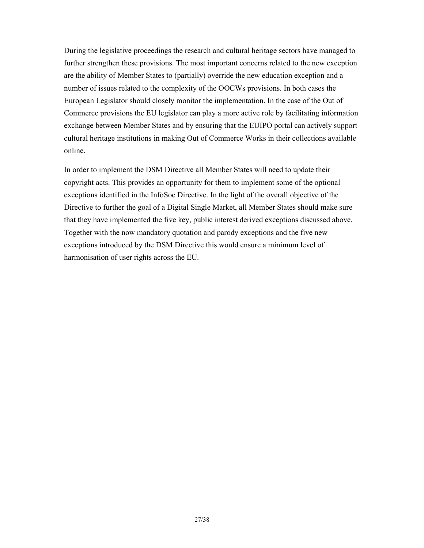During the legislative proceedings the research and cultural heritage sectors have managed to further strengthen these provisions. The most important concerns related to the new exception are the ability of Member States to (partially) override the new education exception and a number of issues related to the complexity of the OOCWs provisions. In both cases the European Legislator should closely monitor the implementation. In the case of the Out of Commerce provisions the EU legislator can play a more active role by facilitating information exchange between Member States and by ensuring that the EUIPO portal can actively support cultural heritage institutions in making Out of Commerce Works in their collections available online.

In order to implement the DSM Directive all Member States will need to update their copyright acts. This provides an opportunity for them to implement some of the optional exceptions identified in the InfoSoc Directive. In the light of the overall objective of the Directive to further the goal of a Digital Single Market, all Member States should make sure that they have implemented the five key, public interest derived exceptions discussed above. Together with the now mandatory quotation and parody exceptions and the five new exceptions introduced by the DSM Directive this would ensure a minimum level of harmonisation of user rights across the EU.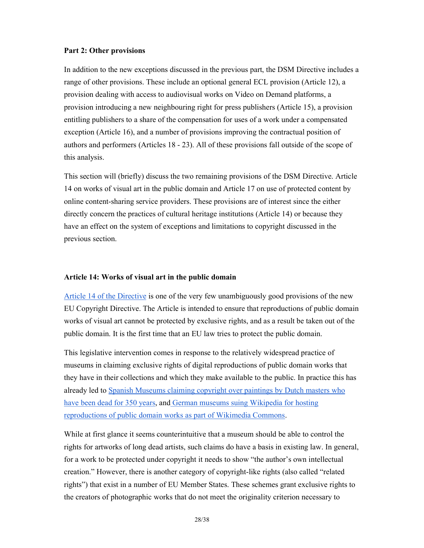# Part 2: Other provisions

In addition to the new exceptions discussed in the previous part, the DSM Directive includes a range of other provisions. These include an optional general ECL provision (Article 12), a provision dealing with access to audiovisual works on Video on Demand platforms, a provision introducing a new neighbouring right for press publishers (Article 15), a provision entitling publishers to a share of the compensation for uses of a work under a compensated exception (Article 16), and a number of provisions improving the contractual position of authors and performers (Articles 18 - 23). All of these provisions fall outside of the scope of this analysis.

This section will (briefly) discuss the two remaining provisions of the DSM Directive. Article 14 on works of visual art in the public domain and Article 17 on use of protected content by online content-sharing service providers. These provisions are of interest since the either directly concern the practices of cultural heritage institutions (Article 14) or because they have an effect on the system of exceptions and limitations to copyright discussed in the previous section.

# Article 14: Works of visual art in the public domain

Article 14 of the Directive is one of the very few unambiguously good provisions of the new EU Copyright Directive. The Article is intended to ensure that reproductions of public domain works of visual art cannot be protected by exclusive rights, and as a result be taken out of the public domain. It is the first time that an EU law tries to protect the public domain.

This legislative intervention comes in response to the relatively widespread practice of museums in claiming exclusive rights of digital reproductions of public domain works that they have in their collections and which they make available to the public. In practice this has already led to Spanish Museums claiming copyright over paintings by Dutch masters who have been dead for 350 years, and German museums suing Wikipedia for hosting reproductions of public domain works as part of Wikimedia Commons.

While at first glance it seems counterintuitive that a museum should be able to control the rights for artworks of long dead artists, such claims do have a basis in existing law. In general, for a work to be protected under copyright it needs to show "the author's own intellectual creation." However, there is another category of copyright-like rights (also called "related rights") that exist in a number of EU Member States. These schemes grant exclusive rights to the creators of photographic works that do not meet the originality criterion necessary to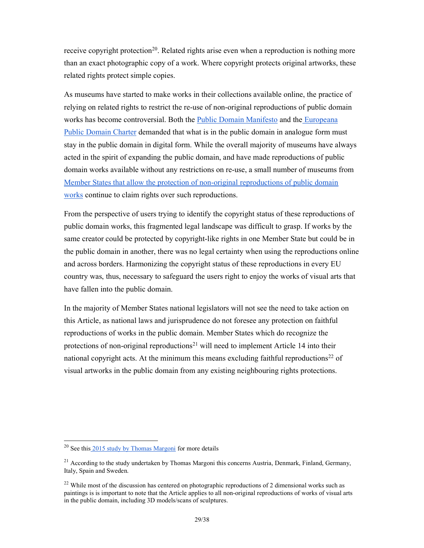receive copyright protection<sup>20</sup>. Related rights arise even when a reproduction is nothing more than an exact photographic copy of a work. Where copyright protects original artworks, these related rights protect simple copies.

As museums have started to make works in their collections available online, the practice of relying on related rights to restrict the re-use of non-original reproductions of public domain works has become controversial. Both the Public Domain Manifesto and the Europeana Public Domain Charter demanded that what is in the public domain in analogue form must stay in the public domain in digital form. While the overall majority of museums have always acted in the spirit of expanding the public domain, and have made reproductions of public domain works available without any restrictions on re-use, a small number of museums from Member States that allow the protection of non-original reproductions of public domain works continue to claim rights over such reproductions.

From the perspective of users trying to identify the copyright status of these reproductions of public domain works, this fragmented legal landscape was difficult to grasp. If works by the same creator could be protected by copyright-like rights in one Member State but could be in the public domain in another, there was no legal certainty when using the reproductions online and across borders. Harmonizing the copyright status of these reproductions in every EU country was, thus, necessary to safeguard the users right to enjoy the works of visual arts that have fallen into the public domain.

In the majority of Member States national legislators will not see the need to take action on this Article, as national laws and jurisprudence do not foresee any protection on faithful reproductions of works in the public domain. Member States which do recognize the protections of non-original reproductions<sup>21</sup> will need to implement Article 14 into their national copyright acts. At the minimum this means excluding faithful reproductions<sup>22</sup> of visual artworks in the public domain from any existing neighbouring rights protections.

-

 $20$  See this 2015 study by Thomas Margoni for more details

 $21$  According to the study undertaken by Thomas Margoni this concerns Austria, Denmark, Finland, Germany, Italy, Spain and Sweden.

<sup>&</sup>lt;sup>22</sup> While most of the discussion has centered on photographic reproductions of 2 dimensional works such as paintings is is important to note that the Article applies to all non-original reproductions of works of visual arts in the public domain, including 3D models/scans of sculptures.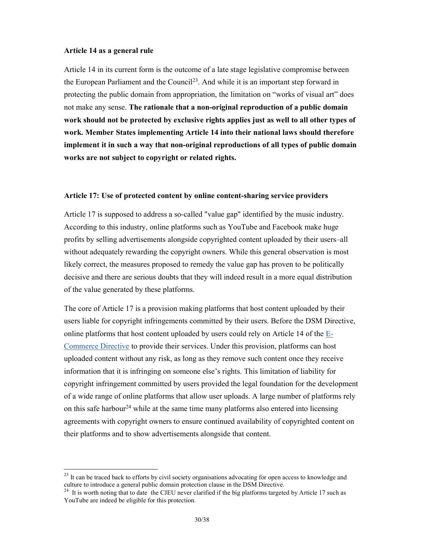#### Article 14 as a general rule

-

Article 14 in its current form is the outcome of a late stage legislative compromise between the European Parliament and the Council<sup>23</sup>. And while it is an important step forward in protecting the public domain from appropriation, the limitation on "works of visual art" does not make any sense. The rationale that a non-original reproduction of a public domain work should not be protected by exclusive rights applies just as well to all other types of work. Member States implementing Article 14 into their national laws should therefore implement it in such a way that non-original reproductions of all types of public domain works are not subject to copyright or related rights.

#### Article 17: Use of protected content by online content-sharing service providers

Article 17 is supposed to address a so-called "value gap" identified by the music industry. According to this industry, online platforms such as YouTube and Facebook make huge profits by selling advertisements alongside copyrighted content uploaded by their users–all without adequately rewarding the copyright owners. While this general observation is most likely correct, the measures proposed to remedy the value gap has proven to be politically decisive and there are serious doubts that they will indeed result in a more equal distribution of the value generated by these platforms.

The core of Article 17 is a provision making platforms that host content uploaded by their users liable for copyright infringements committed by their users. Before the DSM Directive, online platforms that host content uploaded by users could rely on Article 14 of the  $E$ -Commerce Directive to provide their services. Under this provision, platforms can host uploaded content without any risk, as long as they remove such content once they receive information that it is infringing on someone else's rights. This limitation of liability for copyright infringement committed by users provided the legal foundation for the development of a wide range of online platforms that allow user uploads. A large number of platforms rely on this safe harbour<sup>24</sup> while at the same time many platforms also entered into licensing agreements with copyright owners to ensure continued availability of copyrighted content on their platforms and to show advertisements alongside that content.

<sup>&</sup>lt;sup>23</sup> It can be traced back to efforts by civil society organisations advocating for open access to knowledge and culture to introduce a general public domain protection clause in the DSM Directive.

<sup>&</sup>lt;sup>24</sup> It is worth noting that to date the CJEU never clarified if the big platforms targeted by Article 17 such as YouTube are indeed be eligible for this protection.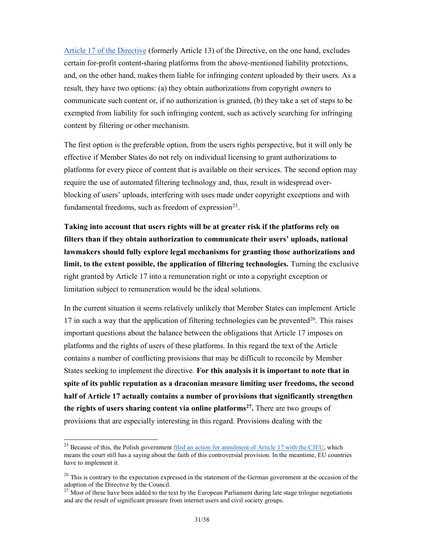Article 17 of the Directive (formerly Article 13) of the Directive, on the one hand, excludes certain for-profit content-sharing platforms from the above-mentioned liability protections, and, on the other hand, makes them liable for infringing content uploaded by their users. As a result, they have two options: (a) they obtain authorizations from copyright owners to communicate such content or, if no authorization is granted, (b) they take a set of steps to be exempted from liability for such infringing content, such as actively searching for infringing content by filtering or other mechanism.

The first option is the preferable option, from the users rights perspective, but it will only be effective if Member States do not rely on individual licensing to grant authorizations to platforms for every piece of content that is available on their services. The second option may require the use of automated filtering technology and, thus, result in widespread overblocking of users' uploads, interfering with uses made under copyright exceptions and with fundamental freedoms, such as freedom of expression $25$ .

Taking into account that users rights will be at greater risk if the platforms rely on filters than if they obtain authorization to communicate their users' uploads, national lawmakers should fully explore legal mechanisms for granting those authorizations and limit, to the extent possible, the application of filtering technologies. Turning the exclusive right granted by Article 17 into a remuneration right or into a copyright exception or limitation subject to remuneration would be the ideal solutions.

In the current situation it seems relatively unlikely that Member States can implement Article 17 in such a way that the application of filtering technologies can be prevented $^{26}$ . This raises important questions about the balance between the obligations that Article 17 imposes on platforms and the rights of users of these platforms. In this regard the text of the Article contains a number of conflicting provisions that may be difficult to reconcile by Member States seeking to implement the directive. For this analysis it is important to note that in spite of its public reputation as a draconian measure limiting user freedoms, the second half of Article 17 actually contains a number of provisions that significantly strengthen the rights of users sharing content via online platforms<sup>27</sup>. There are two groups of provisions that are especially interesting in this regard. Provisions dealing with the

-

<sup>&</sup>lt;sup>25</sup> Because of this, the Polish government <u>filed an action for annulment of Article 17 with the CJEU</u>, which means the court still has a saying about the faith of this controversial provision. In the meantime, EU countries have to implement it.

<sup>&</sup>lt;sup>26</sup> This is contrary to the expectation expressed in the statement of the German government at the occasion of the adoption of the Directive by the Council.

 $27$  Most of these have been added to the text by the European Parliament during late stage trilogue negotiations and are the result of significant pressure from internet users and civil society groups.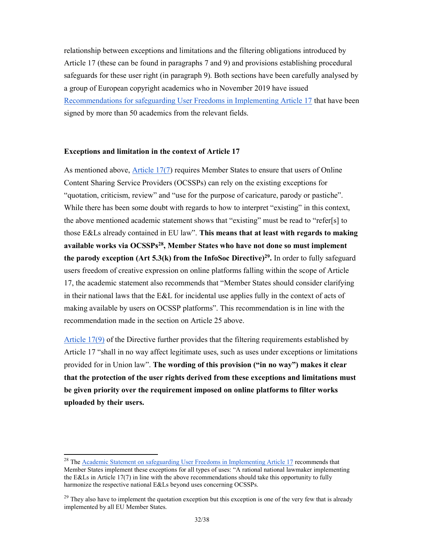relationship between exceptions and limitations and the filtering obligations introduced by Article 17 (these can be found in paragraphs 7 and 9) and provisions establishing procedural safeguards for these user right (in paragraph 9). Both sections have been carefully analysed by a group of European copyright academics who in November 2019 have issued Recommendations for safeguarding User Freedoms in Implementing Article 17 that have been signed by more than 50 academics from the relevant fields.

#### Exceptions and limitation in the context of Article 17

As mentioned above, Article 17(7) requires Member States to ensure that users of Online Content Sharing Service Providers (OCSSPs) can rely on the existing exceptions for "quotation, criticism, review" and "use for the purpose of caricature, parody or pastiche". While there has been some doubt with regards to how to interpret "existing" in this context, the above mentioned academic statement shows that "existing" must be read to "refer[s] to those E&Ls already contained in EU law". This means that at least with regards to making available works via OCSSPs<sup>28</sup>, Member States who have not done so must implement the parody exception (Art 5.3(k) from the InfoSoc Directive)<sup>29</sup>. In order to fully safeguard users freedom of creative expression on online platforms falling within the scope of Article 17, the academic statement also recommends that "Member States should consider clarifying in their national laws that the E&L for incidental use applies fully in the context of acts of making available by users on OCSSP platforms". This recommendation is in line with the recommendation made in the section on Article 25 above.

Article 17(9) of the Directive further provides that the filtering requirements established by Article 17 "shall in no way affect legitimate uses, such as uses under exceptions or limitations provided for in Union law". The wording of this provision ("in no way") makes it clear that the protection of the user rights derived from these exceptions and limitations must be given priority over the requirement imposed on online platforms to filter works uploaded by their users.

-

<sup>&</sup>lt;sup>28</sup> The Academic Statement on safeguarding User Freedoms in Implementing Article 17 recommends that Member States implement these exceptions for all types of uses: "A rational national lawmaker implementing the E&Ls in Article 17(7) in line with the above recommendations should take this opportunity to fully harmonize the respective national E&Ls beyond uses concerning OCSSPs.

 $29$  They also have to implement the quotation exception but this exception is one of the very few that is already implemented by all EU Member States.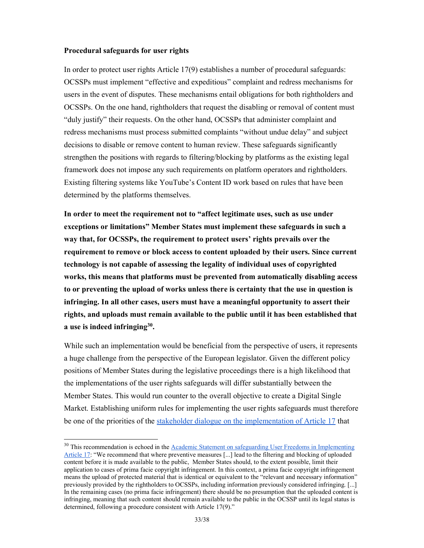#### Procedural safeguards for user rights

-

In order to protect user rights Article 17(9) establishes a number of procedural safeguards: OCSSPs must implement "effective and expeditious" complaint and redress mechanisms for users in the event of disputes. These mechanisms entail obligations for both rightholders and OCSSPs. On the one hand, rightholders that request the disabling or removal of content must "duly justify" their requests. On the other hand, OCSSPs that administer complaint and redress mechanisms must process submitted complaints "without undue delay" and subject decisions to disable or remove content to human review. These safeguards significantly strengthen the positions with regards to filtering/blocking by platforms as the existing legal framework does not impose any such requirements on platform operators and rightholders. Existing filtering systems like YouTube's Content ID work based on rules that have been determined by the platforms themselves.

In order to meet the requirement not to "affect legitimate uses, such as use under exceptions or limitations" Member States must implement these safeguards in such a way that, for OCSSPs, the requirement to protect users' rights prevails over the requirement to remove or block access to content uploaded by their users. Since current technology is not capable of assessing the legality of individual uses of copyrighted works, this means that platforms must be prevented from automatically disabling access to or preventing the upload of works unless there is certainty that the use in question is infringing. In all other cases, users must have a meaningful opportunity to assert their rights, and uploads must remain available to the public until it has been established that a use is indeed infringing $30$ .

While such an implementation would be beneficial from the perspective of users, it represents a huge challenge from the perspective of the European legislator. Given the different policy positions of Member States during the legislative proceedings there is a high likelihood that the implementations of the user rights safeguards will differ substantially between the Member States. This would run counter to the overall objective to create a Digital Single Market. Establishing uniform rules for implementing the user rights safeguards must therefore be one of the priorities of the stakeholder dialogue on the implementation of Article 17 that

<sup>&</sup>lt;sup>30</sup> This recommendation is echoed in the **Academic Statement on safeguarding User Freedoms in Implementing** Article 17: "We recommend that where preventive measures [...] lead to the filtering and blocking of uploaded content before it is made available to the public, Member States should, to the extent possible, limit their application to cases of prima facie copyright infringement. In this context, a prima facie copyright infringement means the upload of protected material that is identical or equivalent to the "relevant and necessary information" previously provided by the rightholders to OCSSPs, including information previously considered infringing. [...] In the remaining cases (no prima facie infringement) there should be no presumption that the uploaded content is infringing, meaning that such content should remain available to the public in the OCSSP until its legal status is determined, following a procedure consistent with Article 17(9)."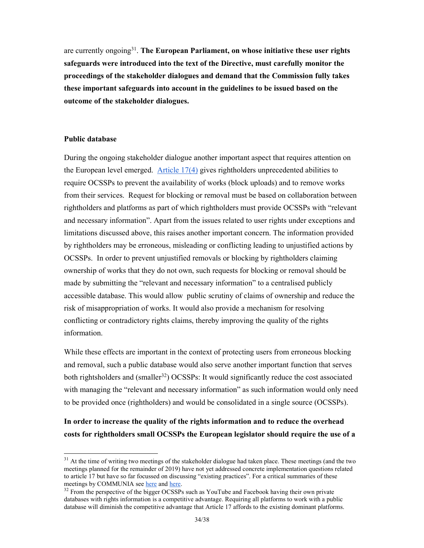are currently ongoing<sup>31</sup>. The European Parliament, on whose initiative these user rights safeguards were introduced into the text of the Directive, must carefully monitor the proceedings of the stakeholder dialogues and demand that the Commission fully takes these important safeguards into account in the guidelines to be issued based on the outcome of the stakeholder dialogues.

#### Public database

-

During the ongoing stakeholder dialogue another important aspect that requires attention on the European level emerged. Article 17(4) gives rightholders unprecedented abilities to require OCSSPs to prevent the availability of works (block uploads) and to remove works from their services. Request for blocking or removal must be based on collaboration between rightholders and platforms as part of which rightholders must provide OCSSPs with "relevant and necessary information". Apart from the issues related to user rights under exceptions and limitations discussed above, this raises another important concern. The information provided by rightholders may be erroneous, misleading or conflicting leading to unjustified actions by OCSSPs. In order to prevent unjustified removals or blocking by rightholders claiming ownership of works that they do not own, such requests for blocking or removal should be made by submitting the "relevant and necessary information" to a centralised publicly accessible database. This would allow public scrutiny of claims of ownership and reduce the risk of misappropriation of works. It would also provide a mechanism for resolving conflicting or contradictory rights claims, thereby improving the quality of the rights information.

While these effects are important in the context of protecting users from erroneous blocking and removal, such a public database would also serve another important function that serves both rightsholders and (smaller<sup>32</sup>) OCSSPs: It would significantly reduce the cost associated with managing the "relevant and necessary information" as such information would only need to be provided once (rightholders) and would be consolidated in a single source (OCSSPs).

In order to increase the quality of the rights information and to reduce the overhead costs for rightholders small OCSSPs the European legislator should require the use of a

 $31$  At the time of writing two meetings of the stakeholder dialogue had taken place. These meetings (and the two meetings planned for the remainder of 2019) have not yet addressed concrete implementation questions related to article 17 but have so far focussed on discussing "existing practices". For a critical summaries of these meetings by COMMUNIA see here and here.

<sup>&</sup>lt;sup>32</sup> From the perspective of the bigger OCSSPs such as YouTube and Facebook having their own private databases with rights information is a competitive advantage. Requiring all platforms to work with a public database will diminish the competitive advantage that Article 17 affords to the existing dominant platforms.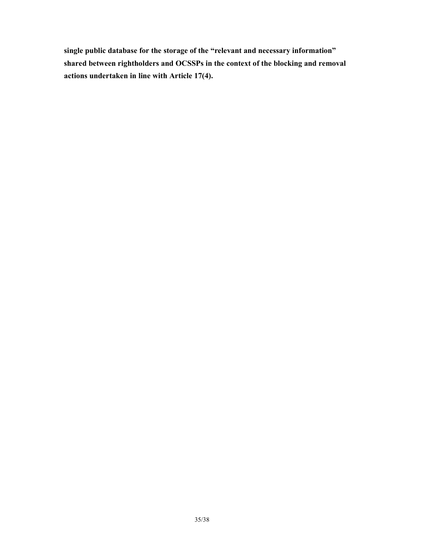single public database for the storage of the "relevant and necessary information" shared between rightholders and OCSSPs in the context of the blocking and removal actions undertaken in line with Article 17(4).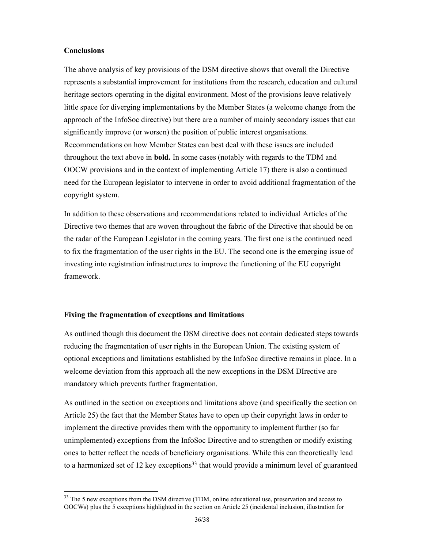# **Conclusions**

-

The above analysis of key provisions of the DSM directive shows that overall the Directive represents a substantial improvement for institutions from the research, education and cultural heritage sectors operating in the digital environment. Most of the provisions leave relatively little space for diverging implementations by the Member States (a welcome change from the approach of the InfoSoc directive) but there are a number of mainly secondary issues that can significantly improve (or worsen) the position of public interest organisations. Recommendations on how Member States can best deal with these issues are included throughout the text above in bold. In some cases (notably with regards to the TDM and OOCW provisions and in the context of implementing Article 17) there is also a continued need for the European legislator to intervene in order to avoid additional fragmentation of the copyright system.

In addition to these observations and recommendations related to individual Articles of the Directive two themes that are woven throughout the fabric of the Directive that should be on the radar of the European Legislator in the coming years. The first one is the continued need to fix the fragmentation of the user rights in the EU. The second one is the emerging issue of investing into registration infrastructures to improve the functioning of the EU copyright framework.

#### Fixing the fragmentation of exceptions and limitations

As outlined though this document the DSM directive does not contain dedicated steps towards reducing the fragmentation of user rights in the European Union. The existing system of optional exceptions and limitations established by the InfoSoc directive remains in place. In a welcome deviation from this approach all the new exceptions in the DSM DIrective are mandatory which prevents further fragmentation.

As outlined in the section on exceptions and limitations above (and specifically the section on Article 25) the fact that the Member States have to open up their copyright laws in order to implement the directive provides them with the opportunity to implement further (so far unimplemented) exceptions from the InfoSoc Directive and to strengthen or modify existing ones to better reflect the needs of beneficiary organisations. While this can theoretically lead to a harmonized set of 12 key exceptions<sup>33</sup> that would provide a minimum level of guaranteed

<sup>&</sup>lt;sup>33</sup> The 5 new exceptions from the DSM directive (TDM, online educational use, preservation and access to OOCWs) plus the 5 exceptions highlighted in the section on Article 25 (incidental inclusion, illustration for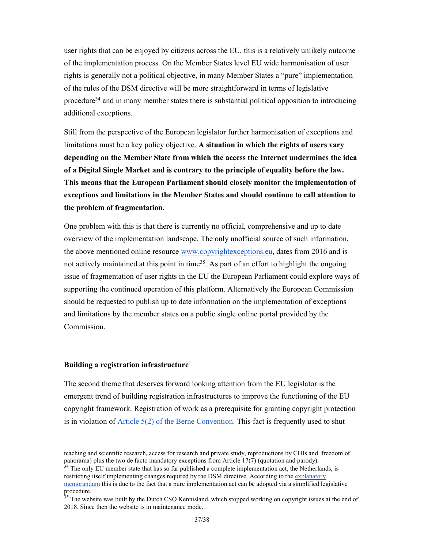user rights that can be enjoyed by citizens across the EU, this is a relatively unlikely outcome of the implementation process. On the Member States level EU wide harmonisation of user rights is generally not a political objective, in many Member States a "pure" implementation of the rules of the DSM directive will be more straightforward in terms of legislative procedure<sup>34</sup> and in many member states there is substantial political opposition to introducing additional exceptions.

Still from the perspective of the European legislator further harmonisation of exceptions and limitations must be a key policy objective. A situation in which the rights of users vary depending on the Member State from which the access the Internet undermines the idea of a Digital Single Market and is contrary to the principle of equality before the law. This means that the European Parliament should closely monitor the implementation of exceptions and limitations in the Member States and should continue to call attention to the problem of fragmentation.

One problem with this is that there is currently no official, comprehensive and up to date overview of the implementation landscape. The only unofficial source of such information, the above mentioned online resource www.copyrightexceptions.eu, dates from 2016 and is not actively maintained at this point in time<sup>35</sup>. As part of an effort to highlight the ongoing issue of fragmentation of user rights in the EU the European Parliament could explore ways of supporting the continued operation of this platform. Alternatively the European Commission should be requested to publish up to date information on the implementation of exceptions and limitations by the member states on a public single online portal provided by the Commission.

#### Building a registration infrastructure

-

The second theme that deserves forward looking attention from the EU legislator is the emergent trend of building registration infrastructures to improve the functioning of the EU copyright framework. Registration of work as a prerequisite for granting copyright protection is in violation of  $\Delta$ rticle 5(2) of the Berne Convention. This fact is frequently used to shut

teaching and scientific research, access for research and private study, reproductions by CHIs and freedom of panorama) plus the two de facto mandatory exceptions from Article  $17(7)$  (quotation and parody).

 $34$  The only EU member state that has so far published a complete implementation act, the Netherlands, is restricting itself implementing changes required by the DSM directive. According to the explanatory memorandum this is due to the fact that a pure implementation act can be adopted via a simplified legislative procedure.

<sup>&</sup>lt;sup>35</sup> The website was built by the Dutch CSO Kennisland, which stopped working on copyright issues at the end of 2018. Since then the website is in maintenance mode.